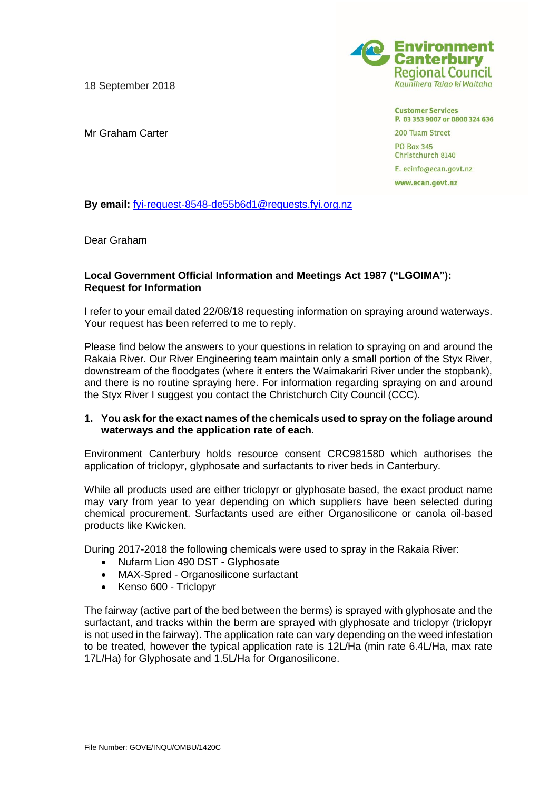18 September 2018

**Environment Canterbury Regional Council** Kaunihera Taiao ki Waitaha

Mr Graham Carter

**Customer Services** P. 03 353 9007 or 0800 324 636 200 Tuam Street **PO Box 345** Christchurch 8140 E. ecinfo@ecan.govt.nz www.ecan.govt.nz

**By email:** [fyi-request-8548-de55b6d1@requests.fyi.org.nz](mailto:xxxxxxxxxxxxxxxxxxxxxxxxx@xxxxxxxx.xxx.xxx.xx)

Dear Graham

# **Local Government Official Information and Meetings Act 1987 ("LGOIMA"): Request for Information**

I refer to your email dated 22/08/18 requesting information on spraying around waterways. Your request has been referred to me to reply.

Please find below the answers to your questions in relation to spraying on and around the Rakaia River. Our River Engineering team maintain only a small portion of the Styx River, downstream of the floodgates (where it enters the Waimakariri River under the stopbank), and there is no routine spraying here. For information regarding spraying on and around the Styx River I suggest you contact the Christchurch City Council (CCC).

## **1. You ask for the exact names of the chemicals used to spray on the foliage around waterways and the application rate of each.**

Environment Canterbury holds resource consent CRC981580 which authorises the application of triclopyr, glyphosate and surfactants to river beds in Canterbury.

While all products used are either triclopyr or glyphosate based, the exact product name may vary from year to year depending on which suppliers have been selected during chemical procurement. Surfactants used are either Organosilicone or canola oil-based products like Kwicken.

During 2017-2018 the following chemicals were used to spray in the Rakaia River:

- Nufarm Lion 490 DST Glyphosate
- MAX-Spred Organosilicone surfactant
- Kenso 600 Triclopyr

The fairway (active part of the bed between the berms) is sprayed with glyphosate and the surfactant, and tracks within the berm are sprayed with glyphosate and triclopyr (triclopyr is not used in the fairway). The application rate can vary depending on the weed infestation to be treated, however the typical application rate is 12L/Ha (min rate 6.4L/Ha, max rate 17L/Ha) for Glyphosate and 1.5L/Ha for Organosilicone.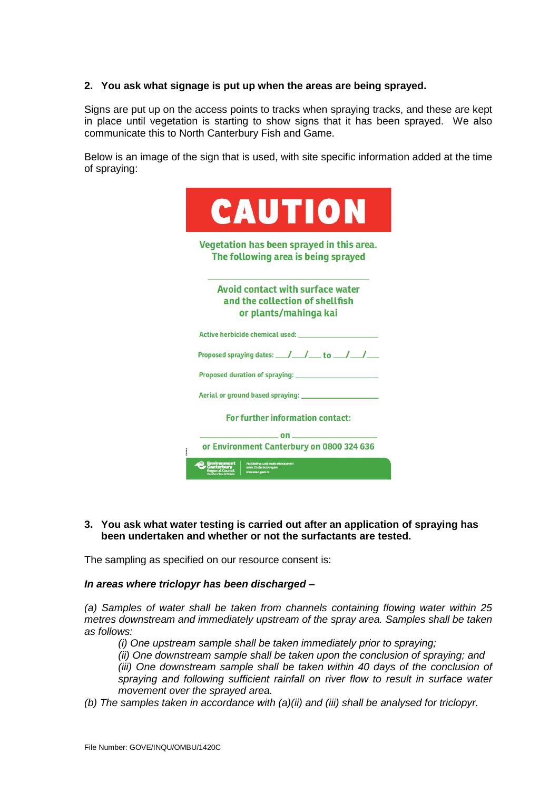# **2. You ask what signage is put up when the areas are being sprayed.**

Signs are put up on the access points to tracks when spraying tracks, and these are kept in place until vegetation is starting to show signs that it has been sprayed. We also communicate this to North Canterbury Fish and Game.

Below is an image of the sign that is used, with site specific information added at the time of spraying:

| CAUTION                                                                                                                                             |  |  |  |  |
|-----------------------------------------------------------------------------------------------------------------------------------------------------|--|--|--|--|
| Vegetation has been sprayed in this area.<br>The following area is being sprayed                                                                    |  |  |  |  |
| <b>Avoid contact with surface water</b><br>and the collection of shellfish<br>or plants/mahinga kai                                                 |  |  |  |  |
| Active herbicide chemical used:                                                                                                                     |  |  |  |  |
|                                                                                                                                                     |  |  |  |  |
| <b>Proposed duration of spraying:</b>                                                                                                               |  |  |  |  |
| Aerial or ground based spraying:                                                                                                                    |  |  |  |  |
| For further information contact:                                                                                                                    |  |  |  |  |
| <b>Solution</b>                                                                                                                                     |  |  |  |  |
| or Environment Canterbury on 0800 324 636                                                                                                           |  |  |  |  |
| <b>Environment</b><br><b>Canterbury</b><br>Regional Council<br>Facilitating sustainable development<br>in the Canterbury region<br>www.ecan.govt.nz |  |  |  |  |

### **3. You ask what water testing is carried out after an application of spraying has been undertaken and whether or not the surfactants are tested.**

The sampling as specified on our resource consent is:

#### *In areas where triclopyr has been discharged –*

*(a) Samples of water shall be taken from channels containing flowing water within 25 metres downstream and immediately upstream of the spray area. Samples shall be taken as follows:*

*(i) One upstream sample shall be taken immediately prior to spraying;*

*(ii) One downstream sample shall be taken upon the conclusion of spraying; and (iii)* One downstream sample shall be taken within 40 days of the conclusion of

*spraying and following sufficient rainfall on river flow to result in surface water movement over the sprayed area.*

*(b) The samples taken in accordance with (a)(ii) and (iii) shall be analysed for triclopyr.*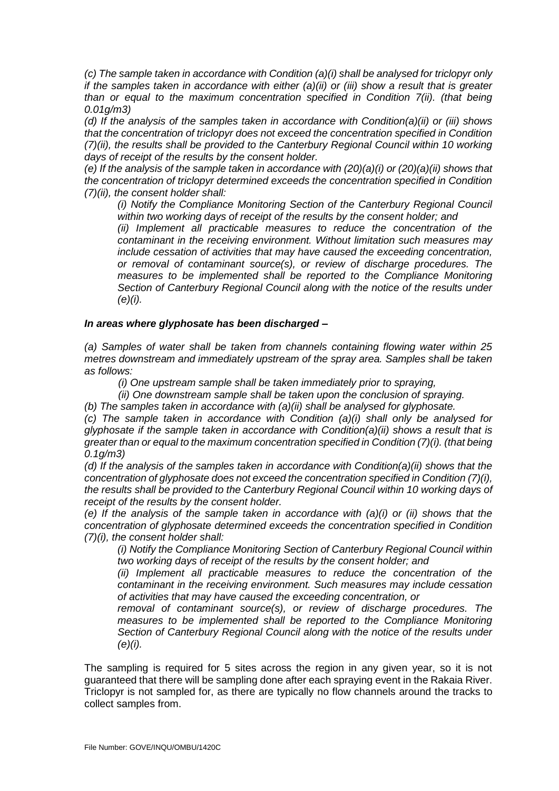*(c) The sample taken in accordance with Condition (a)(i) shall be analysed for triclopyr only if the samples taken in accordance with either (a)(ii) or (iii) show a result that is greater than or equal to the maximum concentration specified in Condition 7(ii). (that being 0.01g/m3)*

*(d) If the analysis of the samples taken in accordance with Condition(a)(ii) or (iii) shows that the concentration of triclopyr does not exceed the concentration specified in Condition (7)(ii), the results shall be provided to the Canterbury Regional Council within 10 working days of receipt of the results by the consent holder.*

*(e) If the analysis of the sample taken in accordance with (20)(a)(i) or (20)(a)(ii) shows that the concentration of triclopyr determined exceeds the concentration specified in Condition (7)(ii), the consent holder shall:*

*(i) Notify the Compliance Monitoring Section of the Canterbury Regional Council within two working days of receipt of the results by the consent holder; and*

*(ii) Implement all practicable measures to reduce the concentration of the contaminant in the receiving environment. Without limitation such measures may include cessation of activities that may have caused the exceeding concentration, or removal of contaminant source(s), or review of discharge procedures. The measures to be implemented shall be reported to the Compliance Monitoring Section of Canterbury Regional Council along with the notice of the results under (e)(i).*

### *In areas where glyphosate has been discharged –*

*(a) Samples of water shall be taken from channels containing flowing water within 25 metres downstream and immediately upstream of the spray area. Samples shall be taken as follows:*

*(i) One upstream sample shall be taken immediately prior to spraying,*

*(ii) One downstream sample shall be taken upon the conclusion of spraying.*

*(b) The samples taken in accordance with (a)(ii) shall be analysed for glyphosate.*

*(c) The sample taken in accordance with Condition (a)(i) shall only be analysed for glyphosate if the sample taken in accordance with Condition(a)(ii) shows a result that is greater than or equal to the maximum concentration specified in Condition (7)(i). (that being 0.1g/m3)*

*(d) If the analysis of the samples taken in accordance with Condition(a)(ii) shows that the concentration of glyphosate does not exceed the concentration specified in Condition (7)(i), the results shall be provided to the Canterbury Regional Council within 10 working days of receipt of the results by the consent holder.*

*(e) If the analysis of the sample taken in accordance with (a)(i) or (ii) shows that the concentration of glyphosate determined exceeds the concentration specified in Condition (7)(i), the consent holder shall:*

*(i) Notify the Compliance Monitoring Section of Canterbury Regional Council within two working days of receipt of the results by the consent holder; and*

*(ii) Implement all practicable measures to reduce the concentration of the contaminant in the receiving environment. Such measures may include cessation of activities that may have caused the exceeding concentration, or*

*removal of contaminant source(s), or review of discharge procedures. The measures to be implemented shall be reported to the Compliance Monitoring Section of Canterbury Regional Council along with the notice of the results under (e)(i).*

The sampling is required for 5 sites across the region in any given year, so it is not guaranteed that there will be sampling done after each spraying event in the Rakaia River. Triclopyr is not sampled for, as there are typically no flow channels around the tracks to collect samples from.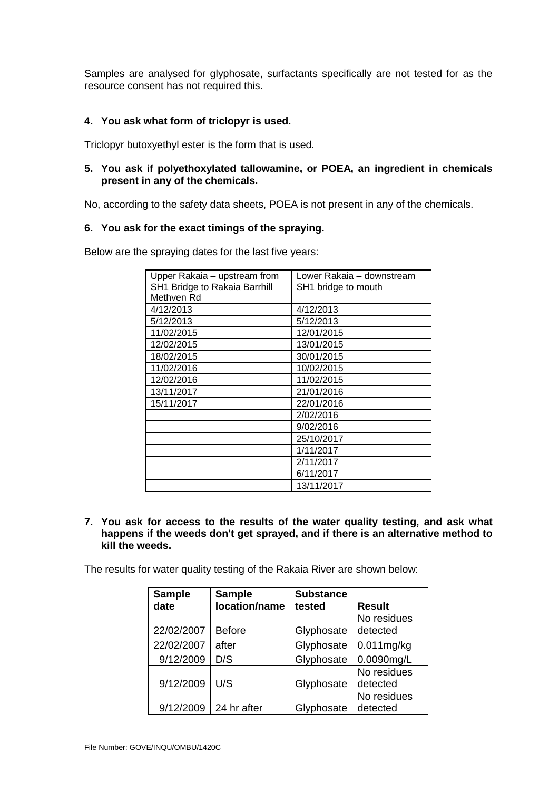Samples are analysed for glyphosate, surfactants specifically are not tested for as the resource consent has not required this.

## **4. You ask what form of triclopyr is used.**

Triclopyr butoxyethyl ester is the form that is used.

### **5. You ask if polyethoxylated tallowamine, or POEA, an ingredient in chemicals present in any of the chemicals.**

No, according to the safety data sheets, POEA is not present in any of the chemicals.

### **6. You ask for the exact timings of the spraying.**

Below are the spraying dates for the last five years:

| Upper Rakaia - upstream from  | Lower Rakaia – downstream       |  |
|-------------------------------|---------------------------------|--|
| SH1 Bridge to Rakaia Barrhill | SH <sub>1</sub> bridge to mouth |  |
| Methven Rd                    |                                 |  |
| 4/12/2013                     | 4/12/2013                       |  |
| 5/12/2013                     | 5/12/2013                       |  |
| 11/02/2015                    | 12/01/2015                      |  |
| 12/02/2015                    | 13/01/2015                      |  |
| 18/02/2015                    | 30/01/2015                      |  |
| 11/02/2016                    | 10/02/2015                      |  |
| 12/02/2016                    | 11/02/2015                      |  |
| 13/11/2017                    | 21/01/2016                      |  |
| 15/11/2017                    | 22/01/2016                      |  |
|                               | 2/02/2016                       |  |
|                               | 9/02/2016                       |  |
|                               | 25/10/2017                      |  |
|                               | 1/11/2017                       |  |
|                               | 2/11/2017                       |  |
|                               | 6/11/2017                       |  |
|                               | 13/11/2017                      |  |

**7. You ask for access to the results of the water quality testing, and ask what happens if the weeds don't get sprayed, and if there is an alternative method to kill the weeds.**

The results for water quality testing of the Rakaia River are shown below:

| <b>Sample</b><br>date | <b>Sample</b><br>location/name | <b>Substance</b><br>tested | <b>Result</b> |
|-----------------------|--------------------------------|----------------------------|---------------|
|                       |                                |                            | No residues   |
| 22/02/2007            | <b>Before</b>                  | Glyphosate                 | detected      |
| 22/02/2007            | after                          | Glyphosate                 | $0.011$ mg/kg |
| 9/12/2009             | D/S                            | Glyphosate                 | 0.0090mg/L    |
|                       |                                |                            | No residues   |
| 9/12/2009             | U/S                            | Glyphosate                 | detected      |
|                       |                                |                            | No residues   |
| 9/12/2009             | 24 hr after                    | Glyphosate                 | detected      |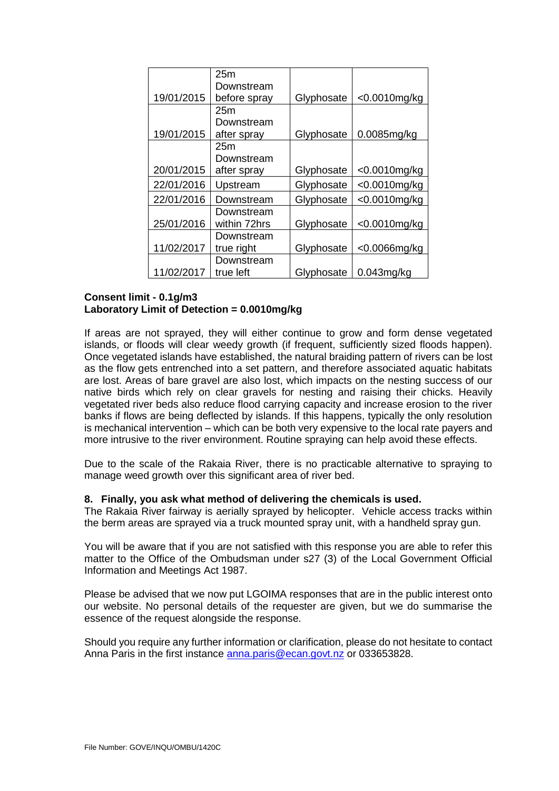|            | 25m          |            |                 |
|------------|--------------|------------|-----------------|
|            | Downstream   |            |                 |
| 19/01/2015 | before spray | Glyphosate | <0.0010mg/kg    |
|            | 25m          |            |                 |
|            | Downstream   |            |                 |
| 19/01/2015 | after spray  | Glyphosate | 0.0085mg/kg     |
|            | 25m          |            |                 |
|            | Downstream   |            |                 |
| 20/01/2015 | after spray  | Glyphosate | <0.0010mg/kg    |
| 22/01/2016 | Upstream     | Glyphosate | <0.0010mg/kg    |
| 22/01/2016 | Downstream   | Glyphosate | <0.0010mg/kg    |
|            | Downstream   |            |                 |
| 25/01/2016 | within 72hrs | Glyphosate | <0.0010mg/kg    |
|            | Downstream   |            |                 |
| 11/02/2017 | true right   | Glyphosate | $<$ 0.0066mg/kg |
|            | Downstream   |            |                 |
| 11/02/2017 | true left    | Glyphosate | $0.043$ mg/kg   |

### **Consent limit - 0.1g/m3 Laboratory Limit of Detection = 0.0010mg/kg**

If areas are not sprayed, they will either continue to grow and form dense vegetated islands, or floods will clear weedy growth (if frequent, sufficiently sized floods happen). Once vegetated islands have established, the natural braiding pattern of rivers can be lost as the flow gets entrenched into a set pattern, and therefore associated aquatic habitats are lost. Areas of bare gravel are also lost, which impacts on the nesting success of our native birds which rely on clear gravels for nesting and raising their chicks. Heavily vegetated river beds also reduce flood carrying capacity and increase erosion to the river banks if flows are being deflected by islands. If this happens, typically the only resolution is mechanical intervention – which can be both very expensive to the local rate payers and more intrusive to the river environment. Routine spraying can help avoid these effects.

Due to the scale of the Rakaia River, there is no practicable alternative to spraying to manage weed growth over this significant area of river bed.

#### **8. Finally, you ask what method of delivering the chemicals is used.**

The Rakaia River fairway is aerially sprayed by helicopter. Vehicle access tracks within the berm areas are sprayed via a truck mounted spray unit, with a handheld spray gun.

You will be aware that if you are not satisfied with this response you are able to refer this matter to the Office of the Ombudsman under s27 (3) of the Local Government Official Information and Meetings Act 1987.

Please be advised that we now put LGOIMA responses that are in the public interest onto our website. No personal details of the requester are given, but we do summarise the essence of the request alongside the response.

Should you require any further information or clarification, please do not hesitate to contact Anna Paris in the first instance [anna.paris@ecan.govt.nz](mailto:xxxx.xxxxx@xxxx.xxxx.xx) or 033653828.